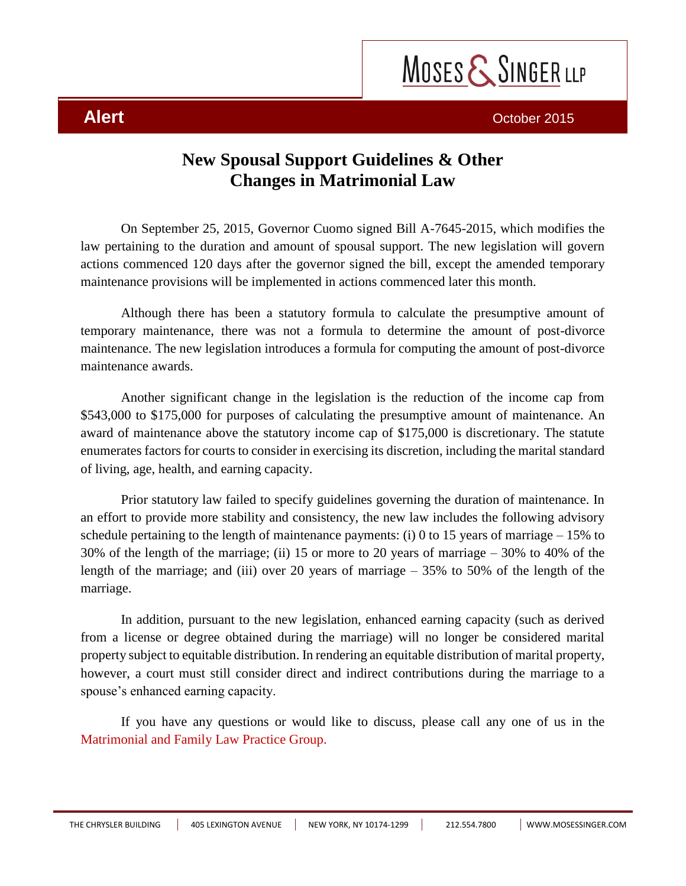

## **New Spousal Support Guidelines & Other Changes in Matrimonial Law**

On September 25, 2015, Governor Cuomo signed Bill A-7645-2015, which modifies the law pertaining to the duration and amount of spousal support. The new legislation will govern actions commenced 120 days after the governor signed the bill, except the amended temporary maintenance provisions will be implemented in actions commenced later this month.

Although there has been a statutory formula to calculate the presumptive amount of temporary maintenance, there was not a formula to determine the amount of post-divorce maintenance. The new legislation introduces a formula for computing the amount of post-divorce maintenance awards.

Another significant change in the legislation is the reduction of the income cap from \$543,000 to \$175,000 for purposes of calculating the presumptive amount of maintenance. An award of maintenance above the statutory income cap of \$175,000 is discretionary. The statute enumerates factors for courts to consider in exercising its discretion, including the marital standard of living, age, health, and earning capacity.

Prior statutory law failed to specify guidelines governing the duration of maintenance. In an effort to provide more stability and consistency, the new law includes the following advisory schedule pertaining to the length of maintenance payments: (i) 0 to 15 years of marriage  $-15\%$  to 30% of the length of the marriage; (ii) 15 or more to 20 years of marriage – 30% to 40% of the length of the marriage; and (iii) over 20 years of marriage  $-35\%$  to 50% of the length of the marriage.

In addition, pursuant to the new legislation, enhanced earning capacity (such as derived from a license or degree obtained during the marriage) will no longer be considered marital property subject to equitable distribution. In rendering an equitable distribution of marital property, however, a court must still consider direct and indirect contributions during the marriage to a spouse's enhanced earning capacity.

If you have any questions or would like to discuss, please call any one of us in the [Matrimonial and Family Law Practice Group.](http://www.mosessinger.com/practice-industries/24-matrimonial-family-law)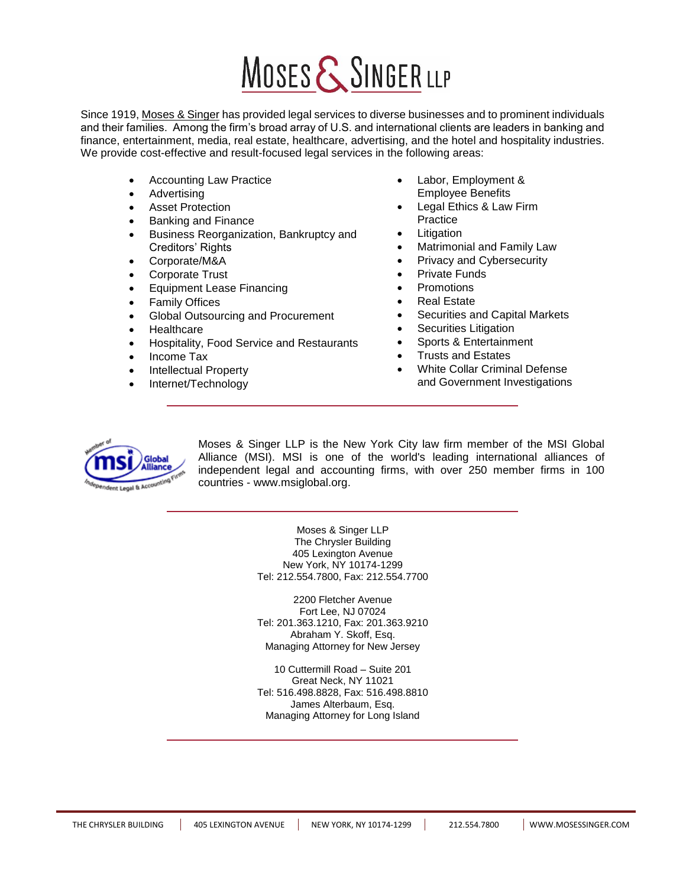# MOSES & SINGER LLP

Since 1919[, Moses & Singer](http://www.mosessinger.com/) has provided legal services to diverse businesses and to prominent individuals and their families. Among the firm's broad array of U.S. and international clients are leaders in banking and finance, entertainment, media, real estate, healthcare, advertising, and the hotel and hospitality industries. We provide cost-effective and result-focused legal services in the following areas:

- Accounting Law Practice
- Advertising
- Asset Protection
- Banking and Finance
- Business Reorganization, Bankruptcy and Creditors' Rights
- Corporate/M&A
- Corporate Trust
- Equipment Lease Financing
- Family Offices
- Global Outsourcing and Procurement
- **Healthcare**
- Hospitality, Food Service and Restaurants
- Income Tax
- Intellectual Property
- Internet/Technology
- Labor, Employment & Employee Benefits
- Legal Ethics & Law Firm Practice
- Litigation
- Matrimonial and Family Law
- Privacy and Cybersecurity
- Private Funds
- Promotions
- Real Estate
- Securities and Capital Markets
- Securities Litigation
- Sports & Entertainment
- Trusts and Estates
- White Collar Criminal Defense and Government Investigations



Moses & Singer LLP is the New York City law firm member of the MSI Global Alliance (MSI). MSI is one of the world's leading international alliances of independent legal and accounting firms, with over 250 member firms in 100 countries - [www.msiglobal.org.](http://www.msiglobal.org/)

> Moses & Singer LLP The Chrysler Building 405 Lexington Avenue New York, NY 10174-1299 Tel: 212.554.7800, Fax: 212.554.7700

> 2200 Fletcher Avenue Fort Lee, NJ 07024 Tel: 201.363.1210, Fax: 201.363.9210 Abraham Y. Skoff, Esq. Managing Attorney for New Jersey

> 10 Cuttermill Road – Suite 201 Great Neck, NY 11021 Tel: 516.498.8828, Fax: 516.498.8810 James Alterbaum, Esq. Managing Attorney for Long Island